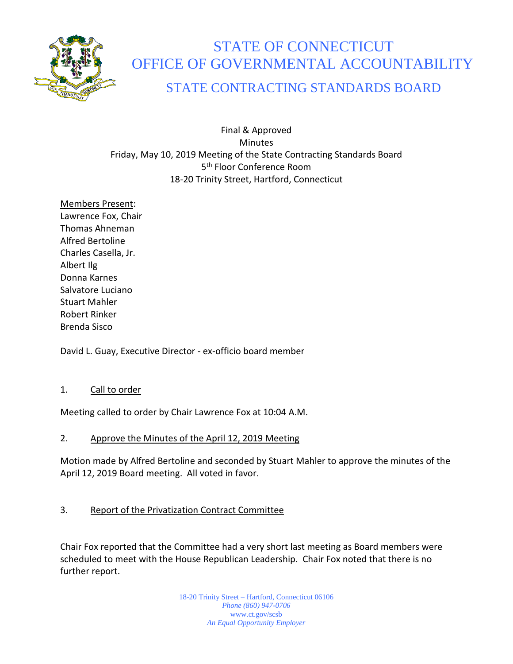

# STATE OF CONNECTICUT OFFICE OF GOVERNMENTAL ACCOUNTABILITY

# STATE CONTRACTING STANDARDS BOARD

Final & Approved **Minutes** Friday, May 10, 2019 Meeting of the State Contracting Standards Board 5<sup>th</sup> Floor Conference Room 18-20 Trinity Street, Hartford, Connecticut

Members Present: Lawrence Fox, Chair Thomas Ahneman Alfred Bertoline Charles Casella, Jr. Albert Ilg Donna Karnes Salvatore Luciano Stuart Mahler Robert Rinker Brenda Sisco

David L. Guay, Executive Director - ex-officio board member

## 1. Call to order

Meeting called to order by Chair Lawrence Fox at 10:04 A.M.

#### 2. Approve the Minutes of the April 12, 2019 Meeting

Motion made by Alfred Bertoline and seconded by Stuart Mahler to approve the minutes of the April 12, 2019 Board meeting. All voted in favor.

## 3. Report of the Privatization Contract Committee

Chair Fox reported that the Committee had a very short last meeting as Board members were scheduled to meet with the House Republican Leadership. Chair Fox noted that there is no further report.

> 18-20 Trinity Street – Hartford, Connecticut 06106 *Phone (860) 947-0706*  www.ct.gov/scsb *An Equal Opportunity Employer*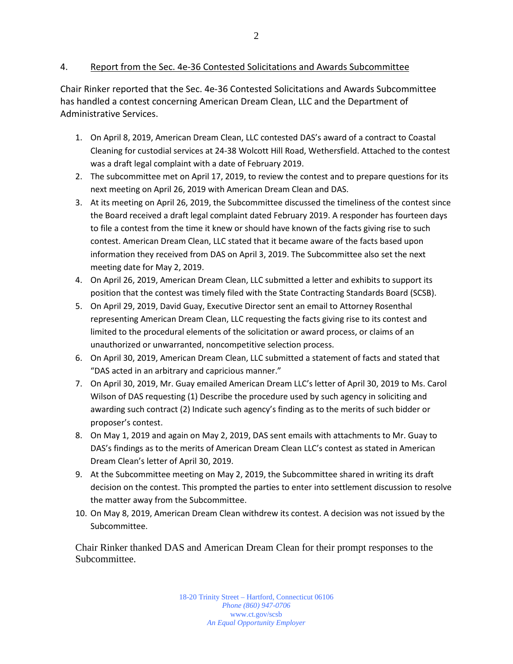#### 4. Report from the Sec. 4e-36 Contested Solicitations and Awards Subcommittee

Chair Rinker reported that the Sec. 4e-36 Contested Solicitations and Awards Subcommittee has handled a contest concerning American Dream Clean, LLC and the Department of Administrative Services.

- 1. On April 8, 2019, American Dream Clean, LLC contested DAS's award of a contract to Coastal Cleaning for custodial services at 24-38 Wolcott Hill Road, Wethersfield. Attached to the contest was a draft legal complaint with a date of February 2019.
- 2. The subcommittee met on April 17, 2019, to review the contest and to prepare questions for its next meeting on April 26, 2019 with American Dream Clean and DAS.
- 3. At its meeting on April 26, 2019, the Subcommittee discussed the timeliness of the contest since the Board received a draft legal complaint dated February 2019. A responder has fourteen days to file a contest from the time it knew or should have known of the facts giving rise to such contest. American Dream Clean, LLC stated that it became aware of the facts based upon information they received from DAS on April 3, 2019. The Subcommittee also set the next meeting date for May 2, 2019.
- 4. On April 26, 2019, American Dream Clean, LLC submitted a letter and exhibits to support its position that the contest was timely filed with the State Contracting Standards Board (SCSB).
- 5. On April 29, 2019, David Guay, Executive Director sent an email to Attorney Rosenthal representing American Dream Clean, LLC requesting the facts giving rise to its contest and limited to the procedural elements of the solicitation or award process, or claims of an unauthorized or unwarranted, noncompetitive selection process.
- 6. On April 30, 2019, American Dream Clean, LLC submitted a statement of facts and stated that "DAS acted in an arbitrary and capricious manner."
- 7. On April 30, 2019, Mr. Guay emailed American Dream LLC's letter of April 30, 2019 to Ms. Carol Wilson of DAS requesting (1) Describe the procedure used by such agency in soliciting and awarding such contract (2) Indicate such agency's finding as to the merits of such bidder or proposer's contest.
- 8. On May 1, 2019 and again on May 2, 2019, DAS sent emails with attachments to Mr. Guay to DAS's findings as to the merits of American Dream Clean LLC's contest as stated in American Dream Clean's letter of April 30, 2019.
- 9. At the Subcommittee meeting on May 2, 2019, the Subcommittee shared in writing its draft decision on the contest. This prompted the parties to enter into settlement discussion to resolve the matter away from the Subcommittee.
- 10. On May 8, 2019, American Dream Clean withdrew its contest. A decision was not issued by the Subcommittee.

Chair Rinker thanked DAS and American Dream Clean for their prompt responses to the Subcommittee.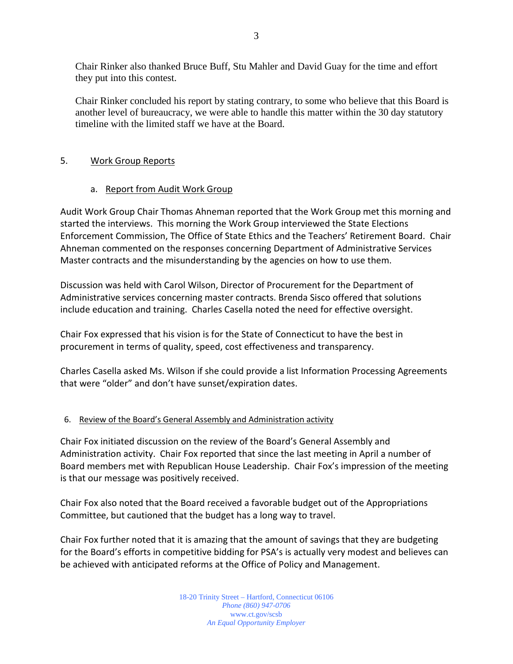Chair Rinker also thanked Bruce Buff, Stu Mahler and David Guay for the time and effort they put into this contest.

Chair Rinker concluded his report by stating contrary, to some who believe that this Board is another level of bureaucracy, we were able to handle this matter within the 30 day statutory timeline with the limited staff we have at the Board.

#### 5. Work Group Reports

#### a. Report from Audit Work Group

Audit Work Group Chair Thomas Ahneman reported that the Work Group met this morning and started the interviews. This morning the Work Group interviewed the State Elections Enforcement Commission, The Office of State Ethics and the Teachers' Retirement Board. Chair Ahneman commented on the responses concerning Department of Administrative Services Master contracts and the misunderstanding by the agencies on how to use them.

Discussion was held with Carol Wilson, Director of Procurement for the Department of Administrative services concerning master contracts. Brenda Sisco offered that solutions include education and training. Charles Casella noted the need for effective oversight.

Chair Fox expressed that his vision is for the State of Connecticut to have the best in procurement in terms of quality, speed, cost effectiveness and transparency.

Charles Casella asked Ms. Wilson if she could provide a list Information Processing Agreements that were "older" and don't have sunset/expiration dates.

#### 6. Review of the Board's General Assembly and Administration activity

Chair Fox initiated discussion on the review of the Board's General Assembly and Administration activity. Chair Fox reported that since the last meeting in April a number of Board members met with Republican House Leadership. Chair Fox's impression of the meeting is that our message was positively received.

Chair Fox also noted that the Board received a favorable budget out of the Appropriations Committee, but cautioned that the budget has a long way to travel.

Chair Fox further noted that it is amazing that the amount of savings that they are budgeting for the Board's efforts in competitive bidding for PSA's is actually very modest and believes can be achieved with anticipated reforms at the Office of Policy and Management.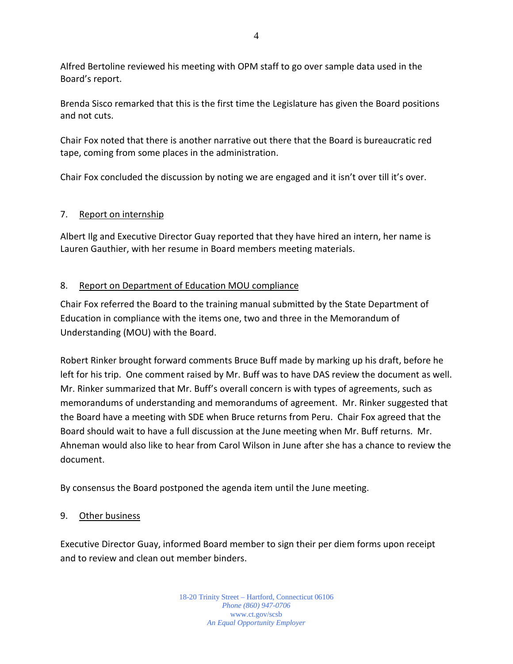Alfred Bertoline reviewed his meeting with OPM staff to go over sample data used in the Board's report.

Brenda Sisco remarked that this is the first time the Legislature has given the Board positions and not cuts.

Chair Fox noted that there is another narrative out there that the Board is bureaucratic red tape, coming from some places in the administration.

Chair Fox concluded the discussion by noting we are engaged and it isn't over till it's over.

## 7. Report on internship

Albert Ilg and Executive Director Guay reported that they have hired an intern, her name is Lauren Gauthier, with her resume in Board members meeting materials.

## 8. Report on Department of Education MOU compliance

Chair Fox referred the Board to the training manual submitted by the State Department of Education in compliance with the items one, two and three in the Memorandum of Understanding (MOU) with the Board.

Robert Rinker brought forward comments Bruce Buff made by marking up his draft, before he left for his trip. One comment raised by Mr. Buff was to have DAS review the document as well. Mr. Rinker summarized that Mr. Buff's overall concern is with types of agreements, such as memorandums of understanding and memorandums of agreement. Mr. Rinker suggested that the Board have a meeting with SDE when Bruce returns from Peru. Chair Fox agreed that the Board should wait to have a full discussion at the June meeting when Mr. Buff returns. Mr. Ahneman would also like to hear from Carol Wilson in June after she has a chance to review the document.

By consensus the Board postponed the agenda item until the June meeting.

## 9. Other business

Executive Director Guay, informed Board member to sign their per diem forms upon receipt and to review and clean out member binders.

> 18-20 Trinity Street – Hartford, Connecticut 06106 *Phone (860) 947-0706*  www.ct.gov/scsb *An Equal Opportunity Employer*